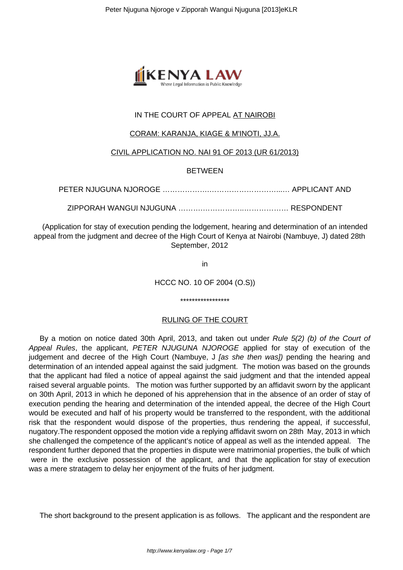

# IN THE COURT OF APPEAL AT NAIROBI

### CORAM: KARANJA, KIAGE & M'INOTI, JJ.A.

### CIVIL APPLICATION NO. NAI 91 OF 2013 (UR 61/2013)

### BETWEEN

PETER NJUGUNA NJOROGE ……………….………………………...… APPLICANT AND

ZIPPORAH WANGUI NJUGUNA ……….……………..……………… RESPONDENT

(Application for stay of execution pending the lodgement, hearing and determination of an intended appeal from the judgment and decree of the High Court of Kenya at Nairobi (Nambuye, J) dated 28th September, 2012

in

HCCC NO. 10 OF 2004 (O.S))

\*\*\*\*\*\*\*\*\*\*\*\*\*\*\*\*\*

### RULING OF THE COURT

By a motion on notice dated 30th April, 2013, and taken out under Rule 5(2) (b) of the Court of Appeal Rules, the applicant, PETER NJUGUNA NJOROGE applied for stay of execution of the judgement and decree of the High Court (Nambuye, J *[as she then was]*) pending the hearing and determination of an intended appeal against the said judgment. The motion was based on the grounds that the applicant had filed a notice of appeal against the said judgment and that the intended appeal raised several arguable points. The motion was further supported by an affidavit sworn by the applicant on 30th April, 2013 in which he deponed of his apprehension that in the absence of an order of stay of execution pending the hearing and determination of the intended appeal, the decree of the High Court would be executed and half of his property would be transferred to the respondent, with the additional risk that the respondent would dispose of the properties, thus rendering the appeal, if successful, nugatory.The respondent opposed the motion vide a replying affidavit sworn on 28th May, 2013 in which she challenged the competence of the applicant's notice of appeal as well as the intended appeal. The respondent further deponed that the properties in dispute were matrimonial properties, the bulk of which were in the exclusive possession of the applicant, and that the application for stay of execution was a mere stratagem to delay her enjoyment of the fruits of her judgment.

The short background to the present application is as follows. The applicant and the respondent are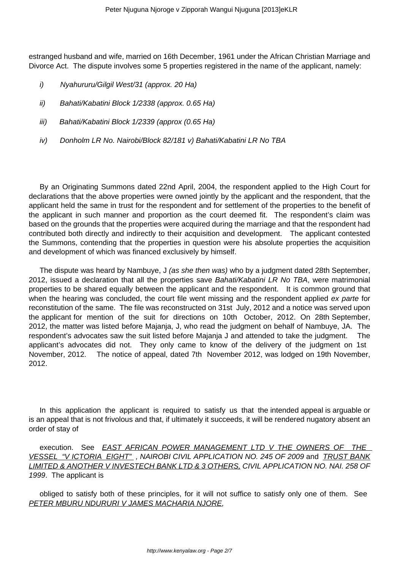estranged husband and wife, married on 16th December, 1961 under the African Christian Marriage and Divorce Act. The dispute involves some 5 properties registered in the name of the applicant, namely:

- i) Nyahururu/Gilgil West/31 (approx. 20 Ha)
- ii) Bahati/Kabatini Block 1/2338 (approx. 0.65 Ha)
- iii) Bahati/Kabatini Block 1/2339 (approx (0.65 Ha)
- iv) Donholm LR No. Nairobi/Block 82/181 v) Bahati/Kabatini LR No TBA

By an Originating Summons dated 22nd April, 2004, the respondent applied to the High Court for declarations that the above properties were owned jointly by the applicant and the respondent, that the applicant held the same in trust for the respondent and for settlement of the properties to the benefit of the applicant in such manner and proportion as the court deemed fit. The respondent's claim was based on the grounds that the properties were acquired during the marriage and that the respondent had contributed both directly and indirectly to their acquisition and development. The applicant contested the Summons, contending that the properties in question were his absolute properties the acquisition and development of which was financed exclusively by himself.

The dispute was heard by Nambuye, J *(as she then was)* who by a judgment dated 28th September, 2012, issued a declaration that all the properties save Bahati/Kabatini LR No TBA, were matrimonial properties to be shared equally between the applicant and the respondent. It is common ground that when the hearing was concluded, the court file went missing and the respondent applied ex parte for reconstitution of the same. The file was reconstructed on 31st July, 2012 and a notice was served upon the applicant for mention of the suit for directions on 10th October, 2012. On 28th September, 2012, the matter was listed before Majanja, J, who read the judgment on behalf of Nambuye, JA. The respondent's advocates saw the suit listed before Majanja J and attended to take the judgment. The applicant's advocates did not. They only came to know of the delivery of the judgment on 1st November, 2012. The notice of appeal, dated 7th November 2012, was lodged on 19th November, 2012.

In this application the applicant is required to satisfy us that the intended appeal is arguable or is an appeal that is not frivolous and that, if ultimately it succeeds, it will be rendered nugatory absent an order of stay of

execution. See **EAST AFRICAN POWER MANAGEMENT LTD V THE OWNERS OF THE** VESSEL "V ICTORIA EIGHT" , NAIROBI CIVIL APPLICATION NO. 245 OF 2009 and TRUST BANK LIMITED & ANOTHER V INVESTECH BANK LTD & 3 OTHERS, CIVIL APPLICATION NO. NAI. 258 OF 1999. The applicant is

obliged to satisfy both of these principles, for it will not suffice to satisfy only one of them. See PETER MBURU NDURURI V JAMES MACHARIA NJORE,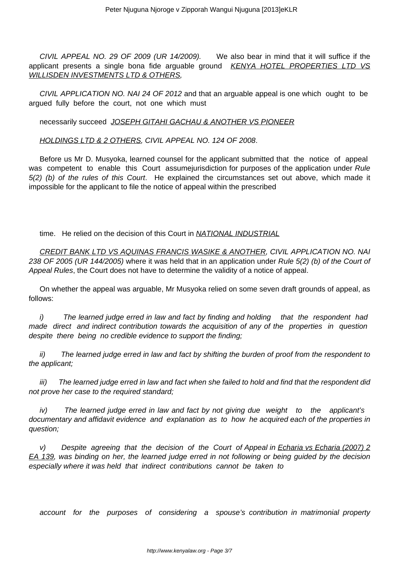CIVIL APPEAL NO. 29 OF 2009 (UR 14/2009). We also bear in mind that it will suffice if the applicant presents a single bona fide arguable ground KENYA HOTEL PROPERTIES LTD VS WILLISDEN INVESTMENTS LTD & OTHERS,

CIVIL APPLICATION NO. NAI 24 OF 2012 and that an arguable appeal is one which ought to be argued fully before the court, not one which must

necessarily succeed JOSEPH GITAHI GACHAU & ANOTHER VS PIONEER

HOLDINGS LTD & 2 OTHERS, CIVIL APPEAL NO. 124 OF 2008.

Before us Mr D. Musyoka, learned counsel for the applicant submitted that the notice of appeal was competent to enable this Court assume jurisdiction for purposes of the application under Rule 5(2) (b) of the rules of this Court. He explained the circumstances set out above, which made it impossible for the applicant to file the notice of appeal within the prescribed

time. He relied on the decision of this Court in NATIONAL INDUSTRIAL

CREDIT BANK LTD VS AQUINAS FRANCIS WASIKE & ANOTHER, CIVIL APPLICATION NO. NAI 238 OF 2005 (UR 144/2005) where it was held that in an application under Rule 5(2) (b) of the Court of Appeal Rules, the Court does not have to determine the validity of a notice of appeal.

On whether the appeal was arguable, Mr Musyoka relied on some seven draft grounds of appeal, as follows:

i) The learned judge erred in law and fact by finding and holding that the respondent had made direct and indirect contribution towards the acquisition of any of the properties in question despite there being no credible evidence to support the finding;

ii) The learned judge erred in law and fact by shifting the burden of proof from the respondent to the applicant;

iii) The learned judge erred in law and fact when she failed to hold and find that the respondent did not prove her case to the required standard;

iv) The learned judge erred in law and fact by not giving due weight to the applicant's documentary and affidavit evidence and explanation as to how he acquired each of the properties in question;

v) Despite agreeing that the decision of the Court of Appeal in *Echaria vs Echaria (2007)* 2 EA 139, was binding on her, the learned judge erred in not following or being guided by the decision especially where it was held that indirect contributions cannot be taken to

account for the purposes of considering a spouse's contribution in matrimonial property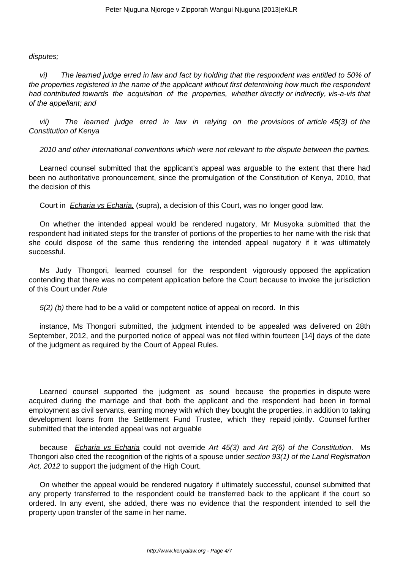#### disputes;

vi) The learned judge erred in law and fact by holding that the respondent was entitled to 50% of the properties registered in the name of the applicant without first determining how much the respondent had contributed towards the acquisition of the properties, whether directly or indirectly, vis-a-vis that of the appellant; and

vii) The learned judge erred in law in relying on the provisions of article 45(3) of the Constitution of Kenya

2010 and other international conventions which were not relevant to the dispute between the parties.

Learned counsel submitted that the applicant's appeal was arguable to the extent that there had been no authoritative pronouncement, since the promulgation of the Constitution of Kenya, 2010, that the decision of this

Court in *Echaria vs Echaria*, (supra), a decision of this Court, was no longer good law.

On whether the intended appeal would be rendered nugatory, Mr Musyoka submitted that the respondent had initiated steps for the transfer of portions of the properties to her name with the risk that she could dispose of the same thus rendering the intended appeal nugatory if it was ultimately successful.

Ms Judy Thongori, learned counsel for the respondent vigorously opposed the application contending that there was no competent application before the Court because to invoke the jurisdiction of this Court under Rule

 $5(2)$  (b) there had to be a valid or competent notice of appeal on record. In this

instance, Ms Thongori submitted, the judgment intended to be appealed was delivered on 28th September, 2012, and the purported notice of appeal was not filed within fourteen [14] days of the date of the judgment as required by the Court of Appeal Rules.

Learned counsel supported the judgment as sound because the properties in dispute were acquired during the marriage and that both the applicant and the respondent had been in formal employment as civil servants, earning money with which they bought the properties, in addition to taking development loans from the Settlement Fund Trustee, which they repaid jointly. Counsel further submitted that the intended appeal was not arguable

because *Echaria vs Echaria* could not override Art 45(3) and Art 2(6) of the Constitution. Ms Thongori also cited the recognition of the rights of a spouse under section 93(1) of the Land Registration Act, 2012 to support the judgment of the High Court.

On whether the appeal would be rendered nugatory if ultimately successful, counsel submitted that any property transferred to the respondent could be transferred back to the applicant if the court so ordered. In any event, she added, there was no evidence that the respondent intended to sell the property upon transfer of the same in her name.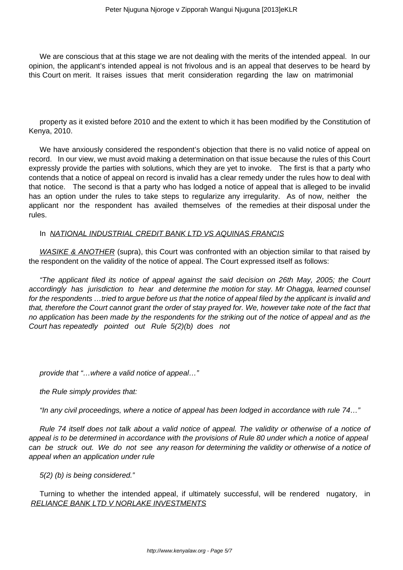We are conscious that at this stage we are not dealing with the merits of the intended appeal. In our opinion, the applicant's intended appeal is not frivolous and is an appeal that deserves to be heard by this Court on merit. It raises issues that merit consideration regarding the law on matrimonial

property as it existed before 2010 and the extent to which it has been modified by the Constitution of Kenya, 2010.

We have anxiously considered the respondent's objection that there is no valid notice of appeal on record. In our view, we must avoid making a determination on that issue because the rules of this Court expressly provide the parties with solutions, which they are yet to invoke. The first is that a party who contends that a notice of appeal on record is invalid has a clear remedy under the rules how to deal with that notice. The second is that a party who has lodged a notice of appeal that is alleged to be invalid has an option under the rules to take steps to regularize any irregularity. As of now, neither the applicant nor the respondent has availed themselves of the remedies at their disposal under the rules.

### In NATIONAL INDUSTRIAL CREDIT BANK LTD VS AQUINAS FRANCIS

WASIKE & ANOTHER (supra), this Court was confronted with an objection similar to that raised by the respondent on the validity of the notice of appeal. The Court expressed itself as follows:

"The applicant filed its notice of appeal against the said decision on 26th May, 2005; the Court accordingly has jurisdiction to hear and determine the motion for stay. Mr Ohagga, learned counsel for the respondents …tried to argue before us that the notice of appeal filed by the applicant is invalid and that, therefore the Court cannot grant the order of stay prayed for. We, however take note of the fact that no application has been made by the respondents for the striking out of the notice of appeal and as the Court has repeatedly pointed out Rule 5(2)(b) does not

provide that "…where a valid notice of appeal…"

the Rule simply provides that:

"In any civil proceedings, where a notice of appeal has been lodged in accordance with rule 74…"

Rule 74 itself does not talk about a valid notice of appeal. The validity or otherwise of a notice of appeal is to be determined in accordance with the provisions of Rule 80 under which a notice of appeal can be struck out. We do not see any reason for determining the validity or otherwise of a notice of appeal when an application under rule

5(2) (b) is being considered."

Turning to whether the intended appeal, if ultimately successful, will be rendered nugatory, in RELIANCE BANK LTD V NORLAKE INVESTMENTS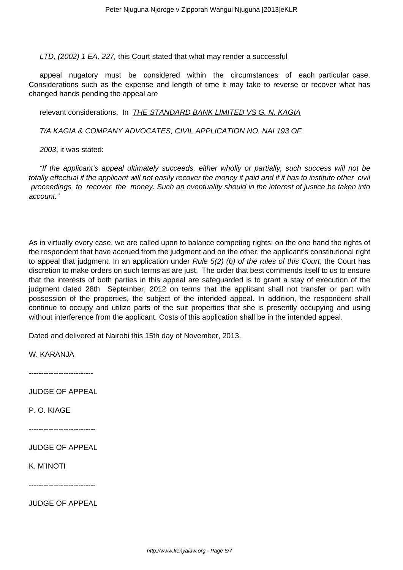LTD, (2002) 1 EA, 227, this Court stated that what may render a successful

appeal nugatory must be considered within the circumstances of each particular case. Considerations such as the expense and length of time it may take to reverse or recover what has changed hands pending the appeal are

relevant considerations. In *THE STANDARD BANK LIMITED VS G. N. KAGIA* 

T/A KAGIA & COMPANY ADVOCATES, CIVIL APPLICATION NO. NAI 193 OF

2003, it was stated:

"If the applicant's appeal ultimately succeeds, either wholly or partially, such success will not be totally effectual if the applicant will not easily recover the money it paid and if it has to institute other civil proceedings to recover the money. Such an eventuality should in the interest of justice be taken into account."

As in virtually every case, we are called upon to balance competing rights: on the one hand the rights of the respondent that have accrued from the judgment and on the other, the applicant's constitutional right to appeal that judgment. In an application under Rule 5(2) (b) of the rules of this Court, the Court has discretion to make orders on such terms as are just. The order that best commends itself to us to ensure that the interests of both parties in this appeal are safeguarded is to grant a stay of execution of the judgment dated 28th September, 2012 on terms that the applicant shall not transfer or part with possession of the properties, the subject of the intended appeal. In addition, the respondent shall continue to occupy and utilize parts of the suit properties that she is presently occupying and using without interference from the applicant. Costs of this application shall be in the intended appeal.

Dated and delivered at Nairobi this 15th day of November, 2013.

W. KARANJA

--------------------------

JUDGE OF APPEAL

P. O. KIAGE

---------------------------

JUDGE OF APPEAL

K. M'INOTI

---------------------------

JUDGE OF APPEAL